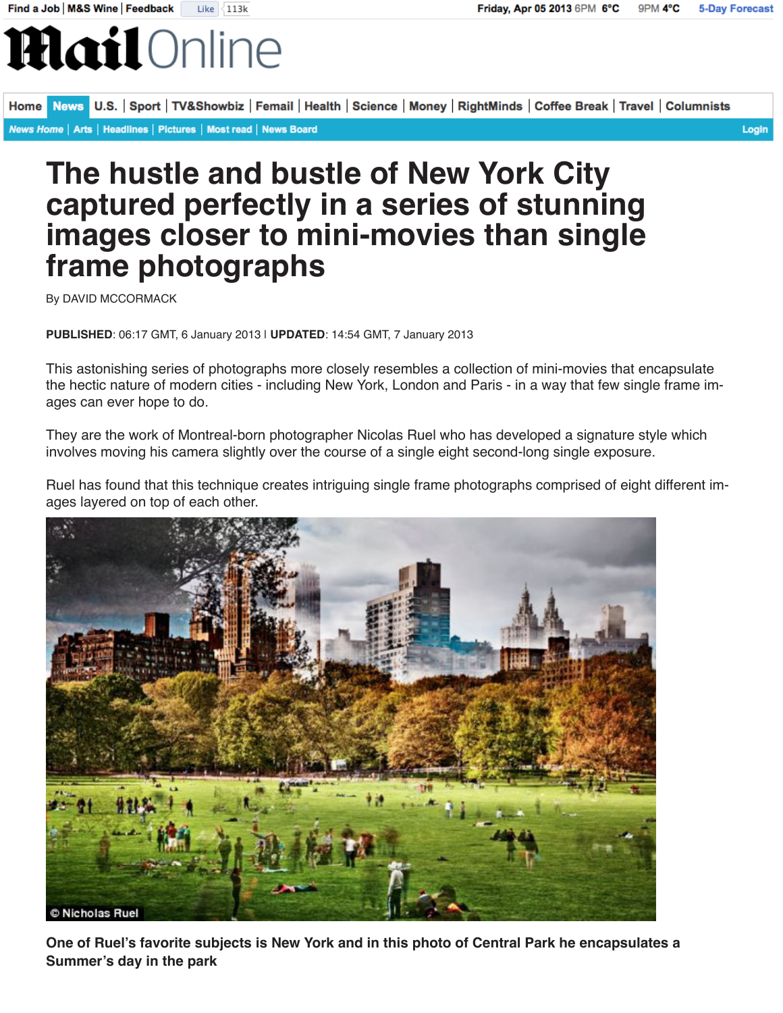## **Hail** Online

News U.S. | Sport | TV&Showbiz | Femail | Health | Science | Money | RightMinds | Coffee Break | Travel | Columnists **Home** News Home | Arts | Headlines | Pictures | Most read | News Board Login

## **The hustle and bustle of New York City captured perfectly in a series of stunning images closer to mini-movies than single frame photographs**

By DAVID MCCORMACK

**PUBLISHED**: 06:17 GMT, 6 January 2013 | **UPDATED**: 14:54 GMT, 7 January 2013

This astonishing series of photographs more closely resembles a collection of mini-movies that encapsulate the hectic nature of modern cities - including New York, London and Paris - in a way that few single frame images can ever hope to do.

They are the work of Montreal-born photographer Nicolas Ruel who has developed a signature style which involves moving his camera slightly over the course of a single eight second-long single exposure.

Ruel has found that this technique creates intriguing single frame photographs comprised of eight different images layered on top of each other.



**One of Ruel's favorite subjects is New York and in this photo of Central Park he encapsulates a Summer's day in the park**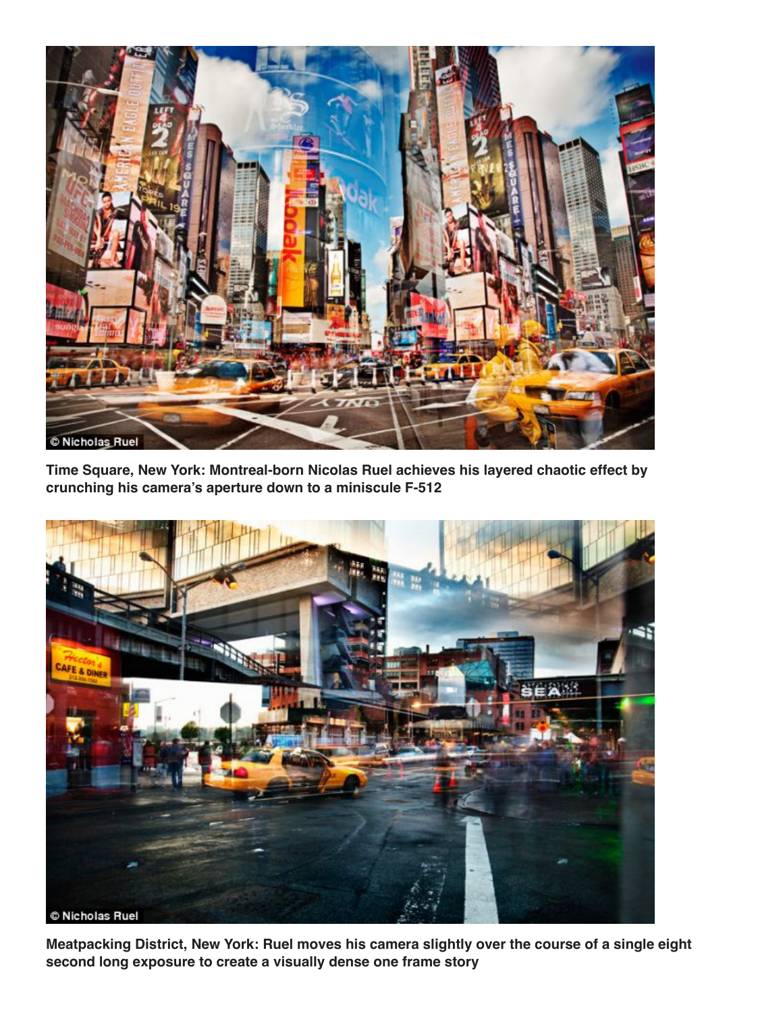

**Time Square, New York: Montreal-born Nicolas Ruel achieves his layered chaotic effect by crunching his camera's aperture down to a miniscule F-512**



**Meatpacking District, New York: Ruel moves his camera slightly over the course of a single eight second long exposure to create a visually dense one frame story**